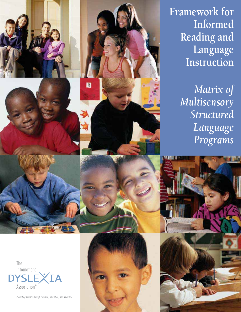**Framework for Informed Reading and Language Instruction**

> *Matrix of Multisensory Structured Language Programs*

The International ĪΑ YSLE Association®

Promoting literacy through research, education, and advocacy.

B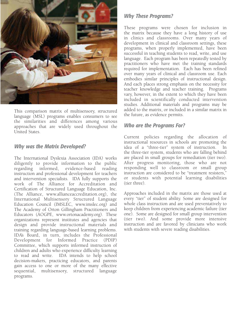

This comparison matrix of multisensory, structured language (MSL) programs enables consumers to see the similarities and differences among various approaches that are widely used throughout the United States.

#### *Why was the Matrix Developed?*

The International Dyslexia Association (IDA) works diligently to provide information to the public regarding informed, evidence-based reading instruction and professional development for teachers and intervention specialists. IDA fully supports the work of The Alliance for Accreditation and Certification of Structured Language Education, Inc. (The Alliance, www.allianceaccreditation.org), the International Multisensory Structured Language Education Council (IMSLEC, www.imslec.org) and The Academy of Orton Gillingham Practitioners and Educators (AOGPE, www.ortonacademy.org). These organizations represent institutes and agencies that design and provide instructional materials and training regarding language-based learning problems. IDA's Board, in turn, includes the Professional Development for Informed Practice (PDIP) Committee, which supports informed instruction of children and adults who experience difficulty learning to read and write. IDA intends to help school decision-makers, practicing educators, and parents gain access to one or more of the many effective sequential, multisensory, structured language programs.

### *Why These Programs?*

These programs were chosen for inclusion in the matrix because they have a long history of use in clinics and classrooms. Over many years of development in clinical and classroom settings, these programs, when properly implemented, have been successful in teaching students to read, write, and use language. Each program has been repeatedly tested by practitioners who have met the training standards required for implementation. Each has been refined over many years of clinical and classroom use. Each embodies similar principles of instructional design. And each places strong emphasis on the necessity for teacher knowledge and teacher training. Programs vary, however, in the extent to which they have been included in scientifically conducted intervention studies. Additional materials and programs may be added to the matrix, or included in a similar matrix in the future, as evidence permits.

### *Who are the Programs For?*

Current policies regarding the allocation of instructional resources in schools are promoting the idea of a "three-tier" system of instruction. In the three-tier system, students who are falling behind are placed in small groups for remediation (tier two). After progress monitoring, those who are not responding well to classroom or small group instruction are considered to be "treatment resisters," or students with potential learning disabilities (tier three).

Approaches included in the matrix are those used at every "tier" of student ability. Some are designed for whole class instruction and are used preventatively to keep children from experiencing academic failure (tier one). Some are designed for small group intervention (tier two). And some provide more intensive instruction and are favored by clinicians who work with students with severe reading disabilities.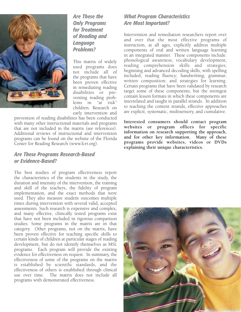

*Are These the Only Programs for Treatment of Reading and Language Problems?* 

This matrix of widely used programs does not include all of the programs that have been proven effective in remediating reading disabilities or preventing reading problems in "at risk" children. Research on early intervention and

prevention of reading disabilities has been conducted with many other instructional materials and programs that are not included in the matrix (see references). Additional reviews of instructional and intervention programs can be found on the website of the Florida Center for Reading Research (www.fcrr.org).

#### *Are These Programs Research-Based or Evidence-Based?*

The best studies of program effectiveness report the characteristics of the students in the study, the duration and intensity of the intervention, the training and skill of the teachers, the fidelity of program implementation, and the exact methods that were used. They also measure student outcomes multiple times during intervention with several valid, accepted assessments. Such research is expensive and complex, and many effective, clinically tested programs exist that have not been included in rigorous comparison studies. Some programs in the matrix are in that category. Other programs, not on the matrix, have been proven effective for teaching specific skills to certain kinds of children at particular stages of reading development, but do not identify themselves as MSL programs. Each program will provide the existing evidence for effectiveness on request. In summary, the effectiveness of some of the programs on the matrix is established by scientific standards, and the effectiveness of others is established through clinical use over time. The matrix does not include all programs with demonstrated effectiveness.

### *What Program Characteristics Are Most Important?*

Intervention and remediation researchers report over and over that the most effective programs of instruction, at all ages, explicitly address multiple components of oral and written language learning in an integrated manner. These components include: phonological awareness; vocabulary development; reading comprehension skills and strategies; beginning and advanced decoding skills, with spelling included; reading fluency; handwriting; grammar; written composition; and strategies for learning. Certain programs that have been validated by research target some of these components, but the strongest contain lesson formats in which these components are interrelated and taught in parallel strands. In addition to teaching the content strands, effective approaches are explicit, systematic, multisensory, and cumulative.

**Interested consumers should contact program websites or program offices for specific information on research supporting the approach, and for other key information. Many of these programs provide websites, videos or DVDs explaining their unique characteristics.**

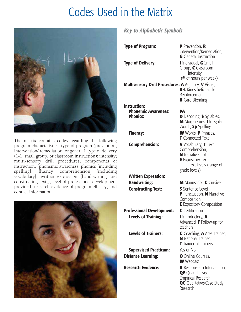## Codes Used in the Matrix



The matrix contains codes regarding the following program characteristics: type of program (prevention, intervention/ remediation, or general); type of delivery (1-1, small group, or classroom instruction); intensity; multi-sensory drill procedures; components of instruction, (phonemic awareness, phonics [including spelling], fluency, comprehension [including vocabulary], written expression [hand-writing and constructing text]); level of professional development provided; research evidence of program-efficacy; and contact information.



## *Key to Alphabetic Symbols*

| <b>Type of Program:</b>                                              | <b>P</b> Prevention, <b>R</b><br>Intervention/Remediation,<br>G General Instruction                                                     |  |  |  |  |
|----------------------------------------------------------------------|-----------------------------------------------------------------------------------------------------------------------------------------|--|--|--|--|
| <b>Type of Delivery:</b>                                             | I Individual, G Small<br>Group, C Classroom<br>$\_$ Intensity<br>(# of hours per week)                                                  |  |  |  |  |
| Multisensory Drill Procedures: A Auditory, V Visual,                 | K-t Kinesthetic-tactile<br>Reinforcement<br><b>B</b> Card Blending                                                                      |  |  |  |  |
| <b>Instruction:</b><br><b>Phonemic Awareness:</b><br><b>Phonics:</b> | PА<br><b>D</b> Decoding, <b>S</b> Syllables,<br>M Morphemes, I Irregular<br>Words, Sp Spelling                                          |  |  |  |  |
| <b>Fluency:</b>                                                      | <b>W</b> Words, P Phrases,<br><b>T</b> Connected Text                                                                                   |  |  |  |  |
| <b>Comprehension:</b>                                                | V Vocabulary, T Text<br>Comprehension,<br><b>N</b> Narrative Text<br><b>E</b> Expository Text<br>Text levels (range of<br>grade levels) |  |  |  |  |
| <b>Written Expression:</b>                                           |                                                                                                                                         |  |  |  |  |
| <b>Handwriting:</b>                                                  | M Manuscript, C Cursive                                                                                                                 |  |  |  |  |
| <b>Constructing Text:</b>                                            | S Sentence Level,<br><b>P</b> Punctuation, N Narrative<br>Composition,<br><b>E</b> Expository Composition                               |  |  |  |  |
| <b>Professional Development:</b>                                     | C Certification                                                                                                                         |  |  |  |  |
| <b>Levels of Training:</b>                                           | I Introductory, A<br>Advanced, F Follow-up for<br>teachers                                                                              |  |  |  |  |
| <b>Levels of Trainers:</b>                                           | C Coaching, <b>A</b> Area Trainer,<br><b>N</b> National Trainer,<br><b>T</b> Trainer of Trainers                                        |  |  |  |  |
| <b>Supervised Practicum:</b>                                         | Yes or No                                                                                                                               |  |  |  |  |
| <b>Distance Learning:</b>                                            | <b>O</b> Online Courses,<br><b>W</b> Webcast                                                                                            |  |  |  |  |
| <b>Research Evidence:</b>                                            | <b>R</b> Response to Intervention,<br><b>QE</b> Quantitative/<br>Empirical Research                                                     |  |  |  |  |

**QC** Qualitative/Case Study

Research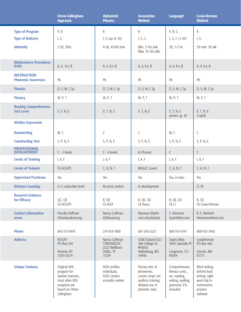|                                                   | <b>Orton-Gillingham</b><br><b>Approach</b>                                                                           | <b>Alphabetic</b><br><b>Phonics</b>                                        | <b>Association</b><br><b>Method</b>                                                                             | Language!                                                                                             | Lexia-Herman<br><b>Method</b>                                                                        |
|---------------------------------------------------|----------------------------------------------------------------------------------------------------------------------|----------------------------------------------------------------------------|-----------------------------------------------------------------------------------------------------------------|-------------------------------------------------------------------------------------------------------|------------------------------------------------------------------------------------------------------|
| <b>Type of Program</b>                            | P, R                                                                                                                 | ${\sf R}$                                                                  | $\mathsf R$<br>P, R, G                                                                                          |                                                                                                       | $\mathsf R$                                                                                          |
| <b>Type of Delivery</b>                           | I, $G$                                                                                                               | I, $G$ (up to $10$ )                                                       | I, G, C                                                                                                         | I, G, C (1-20)                                                                                        | I, $G$                                                                                               |
| <b>Intensity</b>                                  | 2-5X, 2hrs.                                                                                                          | 4-5X, 45-60 min.                                                           | Min. 2 hrs./wk.<br>Max. 35 hrs./wk.                                                                             | 5X, 1-2 hr.                                                                                           | 50 min. 5X wk.                                                                                       |
| <b>Multisensory Procedures -</b><br><b>Drills</b> | A, V, K-t, B                                                                                                         | A, V, K-t, B<br>A, V, K-t, B                                               |                                                                                                                 | A, V, K-t, B                                                                                          | A, V, K-t, B                                                                                         |
| <b>INSTRUCTION</b><br><b>Phonemic Awareness</b>   | PA                                                                                                                   | PA                                                                         | PA                                                                                                              | PA                                                                                                    | PA                                                                                                   |
| <b>Phonics</b>                                    | D, S, M, I, Sp                                                                                                       | D, S, M, I, Sp                                                             | D, S, M, I, Sp                                                                                                  | D, S, M, I, Sp                                                                                        | D, S, M, I, Sp                                                                                       |
| <b>Fluency</b>                                    | W, P, T                                                                                                              | W, P, T                                                                    | W, P, T                                                                                                         | W, P, T                                                                                               | W, P, T                                                                                              |
| <b>Reading Comprehension</b><br><b>Text Level</b> | V, T, N, E                                                                                                           | V, T, N, E                                                                 | V, T, N, E                                                                                                      | V, T, N, E<br>primer-gr. 10                                                                           | V, T, N, E<br>2-adult                                                                                |
| <b>Written Expression</b>                         |                                                                                                                      |                                                                            |                                                                                                                 |                                                                                                       |                                                                                                      |
| <b>Handwriting</b>                                | M, C                                                                                                                 | $\mathsf C$                                                                | $\mathsf C$                                                                                                     | M, C                                                                                                  | $\mathsf C$                                                                                          |
| <b>Constructing Text</b>                          | S, P, N, E                                                                                                           | S, P, N, E                                                                 | S, P, N, E                                                                                                      | S, P, N, E                                                                                            | S, P, N, E                                                                                           |
| <b>PROFESSIONAL</b><br><b>DEVELOPMENT</b>         | $C - 3$ levels                                                                                                       | $C - 4$ levels                                                             | In Process                                                                                                      | $\mathsf{C}$                                                                                          | $\mathsf{C}$                                                                                         |
| <b>Levels of Training</b>                         | I, A, F                                                                                                              | I, A, F                                                                    | I, A, F                                                                                                         | I, A, F                                                                                               | I, A, F                                                                                              |
| <b>Levels of Trainers</b>                         | Ck AOGPE                                                                                                             | C, A, N, T                                                                 | <b>IMSLEC Levels</b>                                                                                            | C, A, N, T                                                                                            | C, A, N, T                                                                                           |
| <b>Supervised Practicum</b>                       | Yes                                                                                                                  | Yes                                                                        | Yes                                                                                                             | Yes, in-class                                                                                         | Yes                                                                                                  |
| <b>Distance Learning</b>                          | O-G subscriber level                                                                                                 | At some centers                                                            | In development                                                                                                  |                                                                                                       | O, W                                                                                                 |
| <b>Research Evidence</b><br>for Efficacy          | QC, QE<br>Ck AOGPE                                                                                                   | R, QE<br>Ck ALTA                                                           | R, QE, QC<br>Ck Assoc.                                                                                          | R, QE, QC<br>Ck L!                                                                                    | R, QC<br>Ck Lexia-Herman                                                                             |
| <b>Contact Information</b><br>www.                | Priscilla Hoffman<br>OrtonAcademy.org                                                                                | Nancy Coffman<br>ALTAread.org                                              | Maureen Martin<br>usm.edu/dubard                                                                                | S. Ashmore<br>SoprisWest.com                                                                          | R. E. Reinhert<br>Hermanmethod.com                                                                   |
| <b>Phone</b>                                      | 845-373-8919                                                                                                         | 214-559-7800                                                               | 601-266-5223                                                                                                    | 800-547-6747                                                                                          | 800-435-3942                                                                                         |
| <b>Address</b>                                    | <b>AOGPE</b><br><b>PO Box 234</b>                                                                                    | Nancy Coffman<br>TSRH/LWCDC<br>2222 Wellborn                               | <b>USM Dubard SLD</b><br>188 College Dr.<br>#10035                                                              | Sopris West<br>4093 Specialty Pl.                                                                     | LexiaHerman<br><b>PO Box 466</b>                                                                     |
|                                                   | Amenia, NY<br>12501-0234                                                                                             | Dallas, TX<br>75219                                                        | Hattiesburg, MS<br>39406                                                                                        | Longmont, CO<br>80504                                                                                 | Lincoln, MA<br>01773                                                                                 |
| <b>Unique Features</b>                            | Original MSL<br>program for<br>dyslexic learners;<br>most other MSL<br>programs are<br>based on Orton-<br>Gillingham | ALTA certifies<br>individuals,<br><b>ALTA Centers</b><br>accredits centers | Precise artic of<br>phonemes;<br>cursive script; ext.<br>auditory training;<br>delayed use of<br>phonetic rules | Comprehensive<br>literacy curric.,<br>inc. reading,<br>writing, spelling,<br>grammar; ESL<br>included | Blind writing,<br>behind back<br>writing; sight<br>word rdg to<br>metronome;<br>practice<br>software |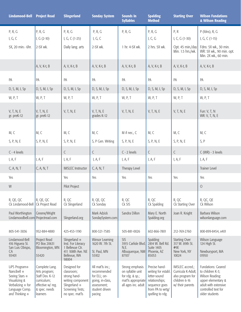| <b>Lindamood-Bell</b>                                                                                                              | <b>Project Read</b>                                                                                                 | <b>Slingerland</b>                                                                                                      | <b>Sonday System</b>                                                                                           | <b>Sounds In</b><br><b>Syllables</b>                                                                   | <b>Spalding</b><br><b>Method</b>                                                                                                | <b>Starting Over</b>                                                                           | <b>Wilson Fundations</b><br>& Wilson Reading                                                                                                     |
|------------------------------------------------------------------------------------------------------------------------------------|---------------------------------------------------------------------------------------------------------------------|-------------------------------------------------------------------------------------------------------------------------|----------------------------------------------------------------------------------------------------------------|--------------------------------------------------------------------------------------------------------|---------------------------------------------------------------------------------------------------------------------------------|------------------------------------------------------------------------------------------------|--------------------------------------------------------------------------------------------------------------------------------------------------|
| P, R, G                                                                                                                            | P, R, G                                                                                                             | P, R, G                                                                                                                 | P, R, G                                                                                                        | P, R, G                                                                                                | P, R, G                                                                                                                         | P, R                                                                                           | $P$ (fdns), R, G                                                                                                                                 |
| I, G, C                                                                                                                            | I, $G(2-10)$                                                                                                        | I, G, C $(1-25)$                                                                                                        | I, G, C                                                                                                        |                                                                                                        | I, C, G                                                                                                                         | I, C, G (1-30)                                                                                 | I, G, C $(1-15)$                                                                                                                                 |
| 5X, 20 min.- 6hr.                                                                                                                  | 2-5X wk.                                                                                                            | Daily lang. arts                                                                                                        | 2-5X wk.                                                                                                       | 1 hr. 4-5X wk.                                                                                         | 2 hrs. 5X wk.                                                                                                                   | Opt. 45 min./day<br>Min. 1.5 hrs./wk.                                                          | Fdns: 5X wk., 30 min.<br>WR: 5X wk., 90 min. opt.<br>Min. 2X wk., 60 min.                                                                        |
|                                                                                                                                    | A, V, K-t, B                                                                                                        | A, V, K-t, B                                                                                                            | A, V, K-t, B                                                                                                   | A, V, K-t, B                                                                                           | A, V, K-t, B                                                                                                                    | A, V, K-t, B                                                                                   | A, V, K-t, B                                                                                                                                     |
| PA                                                                                                                                 | PA                                                                                                                  | PA                                                                                                                      | PA                                                                                                             | PA                                                                                                     | PA                                                                                                                              | PA                                                                                             | PA                                                                                                                                               |
| D, S, M, I, Sp                                                                                                                     | D, S, M, I, Sp                                                                                                      | D, S, M, I, Sp                                                                                                          | D, S, M, I, Sp                                                                                                 | D, S, M, I, Sp                                                                                         | D, S, M, I, Sp                                                                                                                  | D, S, M, I, Sp                                                                                 | D, S, M, I, Sp                                                                                                                                   |
| W, P, T                                                                                                                            | W, P, T                                                                                                             | W, P, T                                                                                                                 | W, P, T                                                                                                        | W, P, T                                                                                                | W, P, T                                                                                                                         | W, P, T                                                                                        | W, P, T                                                                                                                                          |
| V, T, N, E<br>gr. preK-12                                                                                                          | V, T, N, E<br>gr. preK-12                                                                                           | V, T, N, E                                                                                                              | V, T, N, E<br>grades K-12                                                                                      | V, T, N, E                                                                                             | V, T, N, E                                                                                                                      | V, T, N, E                                                                                     | Fun: V, T, N<br>WR: V, T, N, E                                                                                                                   |
|                                                                                                                                    |                                                                                                                     |                                                                                                                         |                                                                                                                |                                                                                                        |                                                                                                                                 |                                                                                                |                                                                                                                                                  |
| M, C                                                                                                                               | M, C                                                                                                                | M, C                                                                                                                    | M, C                                                                                                           | M if nec., C                                                                                           | M, C                                                                                                                            | M, C                                                                                           | M, C                                                                                                                                             |
| S, P, N, E                                                                                                                         | S, P, N, E                                                                                                          | S, P, N, E                                                                                                              | S, P Gen. Writing                                                                                              | S, P, N, E                                                                                             | S, P, N, E                                                                                                                      | S, P, N, E                                                                                     | S, P                                                                                                                                             |
| C - 4 levels                                                                                                                       |                                                                                                                     | $\mathsf{C}$                                                                                                            | $\mathsf{C}$                                                                                                   | C - 2 levels                                                                                           | C                                                                                                                               | $\mathsf C$                                                                                    | $C$ (WR) - 3 levels                                                                                                                              |
| I, A, F                                                                                                                            | I, A, F                                                                                                             | I, $A, F$                                                                                                               | I, A, F                                                                                                        | I, A, F                                                                                                | I, A, F                                                                                                                         | I, $A$ , $F$                                                                                   | I, $A$ , $F$                                                                                                                                     |
| C, A, N, T                                                                                                                         | C, A, N, T                                                                                                          | <b>IMSLEC Instructor</b>                                                                                                | C, A, N, T                                                                                                     | Therapy Level                                                                                          |                                                                                                                                 |                                                                                                | <b>Trainer Level</b>                                                                                                                             |
| Yes                                                                                                                                |                                                                                                                     | Yes                                                                                                                     | Yes                                                                                                            | Yes                                                                                                    | Yes                                                                                                                             | Yes                                                                                            | Yes                                                                                                                                              |
| W                                                                                                                                  |                                                                                                                     | Pilot Project                                                                                                           |                                                                                                                |                                                                                                        |                                                                                                                                 |                                                                                                | $\bigcirc$                                                                                                                                       |
| R, QE, QC<br>Ck Lindamood-Bell                                                                                                     | R, QE, QC<br>Ck Project Read                                                                                        | R, QC<br>Ck Slingerland                                                                                                 | R, QE, QC<br>Ck Sonday                                                                                         | R, QC<br>Ck SIS                                                                                        | R, QC<br>Ck Spalding                                                                                                            | R, QC<br>Ck Starting Over                                                                      | R, QC, QE<br>Ck Wilson                                                                                                                           |
| Paul Worthington<br>Lindamoodbell.com Projectread.com                                                                              | Greene/Wright                                                                                                       | Slingerland.org                                                                                                         | Mark Adzick<br>SondaySystem.com                                                                                | Sandra Dillon                                                                                          | Mary E. North<br>Spalding.org                                                                                                   | Joan R. Knight                                                                                 | Barbara Wilson<br>wilsonlanguage.com                                                                                                             |
| 805-541-3836                                                                                                                       | 952-884-4880                                                                                                        | 425-453-1190                                                                                                            | 800-321-7585                                                                                                   | 505-881-0026                                                                                           | 602-866-7801                                                                                                                    | 212-769-2760                                                                                   | 800-899-8454, x401                                                                                                                               |
| Lindamood-Bell<br>416 Higuera St.<br>San Luis Obispo,<br>CA<br>93401                                                               | Project Read<br>PO Box 20631<br>Bloomington, MN<br>55420                                                            | Slingerland ®<br>Inst. For Literacy<br>1 Bellevue Ctr.<br>411 108th Ave. NE<br>Bellevue, WA<br>98004                    | <b>Winsor Learning</b><br>1620 W. 7th St.<br>St. Paul, MN<br>55102                                             | <b>SIS</b><br>3915 Carlisle Blvd.<br>N.E.<br>Albuquerque, NM<br>87107                                  | Spalding<br>2814 W. Bell Rd.<br><b>Suite 1405</b><br>Phoenix, AZ<br>85053                                                       | <b>Starting Over</b><br>317 W. 89th St.<br>#9E<br>New York, NY<br>10024                        | Wilson Language<br>124 High St.<br>Newburyport, MA<br>01950                                                                                      |
| LiPS Program®<br>Nancibell ®<br>Seeing Stars ®<br>Visualizing &<br>Verbalizing $\circledR$ for<br>Language Comp.<br>and Thinking ® | Complete Lang.<br>Arts program;<br>Staff Dev. K-12<br>curriculum;<br>effective w/ reg.<br>& spec. needs<br>learners | Designed for<br>classroom;<br>strong hand-<br>writing component<br>Slingerland ®<br>Screening Tests;<br>no spec. mat'ls | All mat'ls inc.;<br>recommended<br>for ELL; on-<br>going, in-class,<br>assessment;<br>student driven<br>pacing | Strong emphasis<br>on syllable unit<br>for $rds$ . & sp.;<br>mat'ls appropriate<br>all ages inc. adult | Precise hand-<br>writing for establ.<br>letter-sound<br>relationships;<br>sequence goes<br>from PA to wrtg/<br>spelling to rdg. | IMSLEC accred.;<br>Curricula K-Adult;<br>also program for<br>children 6-16<br>w/ their parents | Fundations: Geared<br>to children K-3;<br>Wilson Reading:<br>upper elementary &<br>adult with extensive<br>controlled text for<br>older students |